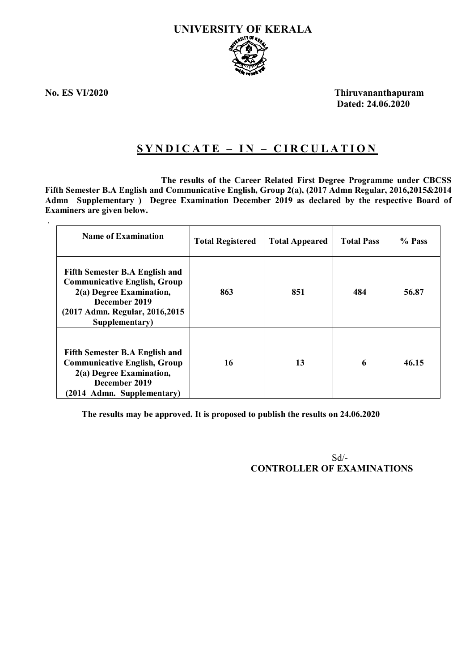

.

**No. ES VI/2020 Thiruvananthapuram Dated: 24.06.2020**

# **S Y N D I C A T E – I N – C I R C U L A T I O N**

 **The results of the Career Related First Degree Programme under CBCSS Fifth Semester B.A English and Communicative English, Group 2(a), (2017 Admn Regular, 2016,2015&2014 Admn Supplementary ) Degree Examination December 2019 as declared by the respective Board of Examiners are given below.**

| <b>Name of Examination</b>                                                                                                                                                      | <b>Total Registered</b> | <b>Total Appeared</b> | <b>Total Pass</b> | % Pass |
|---------------------------------------------------------------------------------------------------------------------------------------------------------------------------------|-------------------------|-----------------------|-------------------|--------|
| <b>Fifth Semester B.A English and</b><br><b>Communicative English, Group</b><br>2(a) Degree Examination,<br>December 2019<br>(2017 Admn. Regular, 2016, 2015)<br>Supplementary) | 863                     | 851                   | 484               | 56.87  |
| <b>Fifth Semester B.A English and</b><br><b>Communicative English, Group</b><br>2(a) Degree Examination,<br>December 2019<br>(2014 Admn. Supplementary)                         | 16                      | 13                    | 6                 | 46.15  |

**The results may be approved. It is proposed to publish the results on 24.06.2020**

Sd/- **CONTROLLER OF EXAMINATIONS**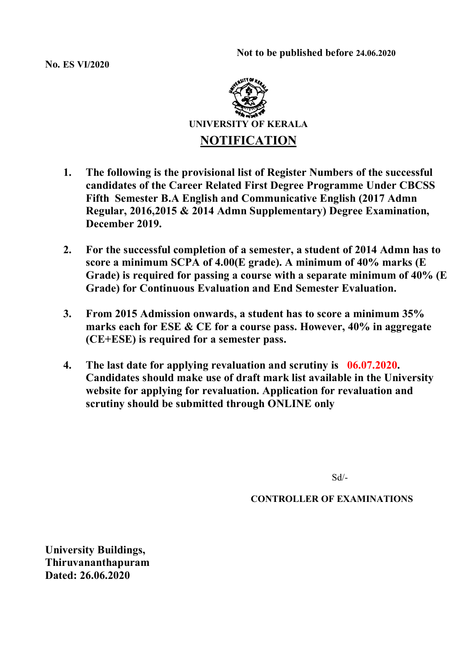**Not to be published before 24.06.2020**

**No. ES VI/2020**



- **1. The following is the provisional list of Register Numbers of the successful candidates of the Career Related First Degree Programme Under CBCSS Fifth Semester B.A English and Communicative English (2017 Admn Regular, 2016,2015 & 2014 Admn Supplementary) Degree Examination, December 2019.**
- **2. For the successful completion of a semester, a student of 2014 Admn has to score a minimum SCPA of 4.00(E grade). A minimum of 40% marks (E Grade) is required for passing a course with a separate minimum of 40% (E Grade) for Continuous Evaluation and End Semester Evaluation.**
- **3. From 2015 Admission onwards, a student has to score a minimum 35% marks each for ESE & CE for a course pass. However, 40% in aggregate (CE+ESE) is required for a semester pass.**
- **4. The last date for applying revaluation and scrutiny is 06.07.2020. Candidates should make use of draft mark list available in the University website for applying for revaluation. Application for revaluation and scrutiny should be submitted through ONLINE only**

Sd/-

**CONTROLLER OF EXAMINATIONS**

**University Buildings, Thiruvananthapuram Dated: 26.06.2020**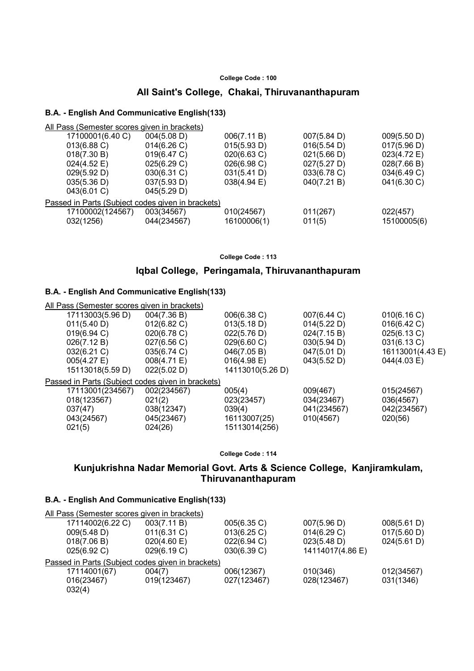## **All Saint's College, Chakai, Thiruvananthapuram**

### **B.A. - English And Communicative English(133)**

| All Pass (Semester scores given in brackets)      |             |             |             |             |
|---------------------------------------------------|-------------|-------------|-------------|-------------|
| 17100001(6.40 C)                                  | 004(5.08 D) | 006(7.11 B) | 007(5.84 D) | 009(5.50 D) |
| 013(6.88 C)                                       | 014(6.26)   | 015(5.93 D) | 016(5.54 D) | 017(5.96 D) |
| 018(7.30 B)                                       | 019(6.47 C) | 020(6.63 C) | 021(5.66 D) | 023(4.72 E) |
| $024(4.52 \text{ E})$                             | 025(6.29 C) | 026(6.98 C) | 027(5.27 D) | 028(7.66 B) |
| 029(5.92 D)                                       | 030(6.31 C) | 031(5.41 D) | 033(6.78 C) | 034(6.49 C) |
| 035(5.36 D)                                       | 037(5.93 D) | 038(4.94 E) | 040(7.21 B) | 041(6.30 C) |
| 043(6.01 C)                                       | 045(5.29 D) |             |             |             |
| Passed in Parts (Subject codes given in brackets) |             |             |             |             |
| 17100002(124567)                                  | 003(34567)  | 010(24567)  | 011(267)    | 022(457)    |
| 032(1256)                                         | 044(234567) | 16100006(1) | 011(5)      | 15100005(6) |
|                                                   |             |             |             |             |

**College Code : 113**

### **Iqbal College, Peringamala, Thiruvananthapuram**

### **B.A. - English And Communicative English(133)**

| All Pass (Semester scores given in brackets)      |             |                  |             |                  |
|---------------------------------------------------|-------------|------------------|-------------|------------------|
| 17113003(5.96 D)                                  | 004(7.36 B) | 006(6.38 C)      | 007(6.44 C) | 010(6.16 C)      |
| 011(5.40 D)                                       | 012(6.82 C) | 013(5.18 D)      | 014(5.22 D) | 016(6.42 C)      |
| 019(6.94 C)                                       | 020(6.78 C) | 022(5.76 D)      | 024(7.15 B) | 025(6.13 C)      |
| 026(7.12 B)                                       | 027(6.56 C) | 029(6.60 C)      | 030(5.94 D) | 031(6.13 C)      |
| $032(6.21)$ C)                                    | 035(6.74 C) | 046(7.05 B)      | 047(5.01 D) | 16113001(4.43 E) |
| $005(4.27)$ E)                                    | 008(4.71 E) | 016(4.98 E)      | 043(5.52 D) | 044(4.03 E)      |
| 15113018(5.59 D)                                  | 022(5.02 D) | 14113010(5.26 D) |             |                  |
| Passed in Parts (Subject codes given in brackets) |             |                  |             |                  |
| 17113001(234567)                                  | 002(234567) | 005(4)           | 009(467)    | 015(24567)       |
| 018(123567)                                       | 021(2)      | 023(23457)       | 034(23467)  | 036(4567)        |
| 037(47)                                           | 038(12347)  | 039(4)           | 041(234567) | 042(234567)      |
| 043(24567)                                        | 045(23467)  | 16113007(25)     | 010(4567)   | 020(56)          |
| 021(5)                                            | 024(26)     | 15113014(256)    |             |                  |
|                                                   |             |                  |             |                  |

**College Code : 114**

# **Kunjukrishna Nadar Memorial Govt. Arts & Science College, Kanjiramkulam, Thiruvananthapuram**

| All Pass (Semester scores given in brackets)      |                |             |                  |             |
|---------------------------------------------------|----------------|-------------|------------------|-------------|
| 17114002(6.22 C)                                  | 003(7.11 B)    | 005(6.35 C) | 007(5.96 D)      | 008(5.61 D) |
| 009(5.48 D)                                       | $011(6.31)$ C) | 013(6.25)   | 014(6.29 C)      | 017(5.60 D) |
| 018(7.06 B)                                       | 020(4.60)      | 022(6.94 C) | 023(5.48 D)      | 024(5.61 D) |
| 025(6.92 C)                                       | 029(6.19 C)    | 030(6.39 C) | 14114017(4.86 E) |             |
| Passed in Parts (Subject codes given in brackets) |                |             |                  |             |
| 17114001(67)                                      | 004(7)         | 006(12367)  | 010(346)         | 012(34567)  |
| 016(23467)                                        | 019(123467)    | 027(123467) | 028(123467)      | 031(1346)   |
| 032(4)                                            |                |             |                  |             |
|                                                   |                |             |                  |             |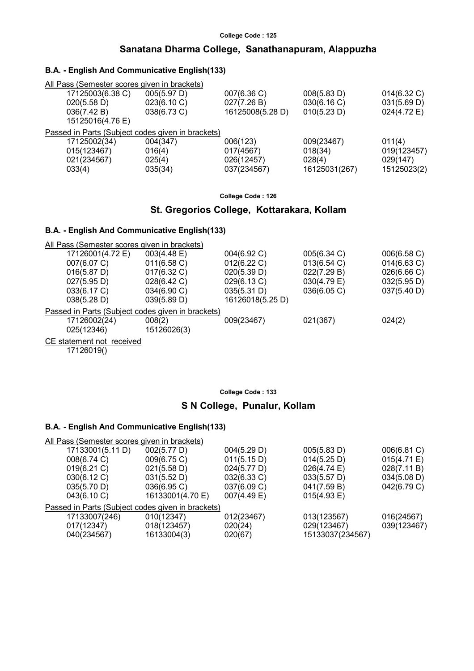# **Sanatana Dharma College, Sanathanapuram, Alappuzha**

### **B.A. - English And Communicative English(133)**

| All Pass (Semester scores given in brackets)      |                |                  |               |                |
|---------------------------------------------------|----------------|------------------|---------------|----------------|
| 17125003(6.38 C)                                  | 005(5.97 D)    | 007(6.36 C)      | 008(5.83 D)   | $014(6.32)$ C) |
| 020(5.58 D)                                       | 023(6.10 C)    | 027(7.26 B)      | 030(6.16 C)   | 031(5.69 D)    |
| 036(7.42 B)                                       | $038(6.73)$ C) | 16125008(5.28 D) | 010(5.23 D)   | 024(4.72 E)    |
| 15125016(4.76 E)                                  |                |                  |               |                |
| Passed in Parts (Subject codes given in brackets) |                |                  |               |                |
| 17125002(34)                                      | 004(347)       | 006(123)         | 009(23467)    | 011(4)         |
| 015(123467)                                       | 016(4)         | 017(4567)        | 018(34)       | 019(123457)    |
| 021(234567)                                       | 025(4)         | 026(12457)       | 028(4)        | 029(147)       |
| 033(4)                                            | 035(34)        | 037(234567)      | 16125031(267) | 15125023(2)    |
|                                                   |                |                  |               |                |

**College Code : 126**

# **St. Gregorios College, Kottarakara, Kollam**

### **B.A. - English And Communicative English(133)**

All Pass (Semester scores given in brackets)

| 17126001(4.72 E)                                  | $003(4.48 \text{ E})$ | 004(6.92 C)      | 005(6.34 C) | 006(6.58 C)    |
|---------------------------------------------------|-----------------------|------------------|-------------|----------------|
| 007(6.07 C)                                       | $011(6.58)$ C)        | $012(6.22)$ C)   | 013(6.54)   | $014(6.63)$ C) |
| 016(5.87 D)                                       | $017(6.32)$ C)        | 020(5.39 D)      | 022(7.29 B) | 026(6.66 C)    |
| 027(5.95 D)                                       | 028(6.42 C)           | 029(6.13 C)      | 030(4.79 E) | 032(5.95 D)    |
| 033(6.17 C)                                       | $034(6.90 \text{ C})$ | 035(5.31 D)      | 036(6.05)   | 037(5.40 D)    |
| 038(5.28 D)                                       | 039(5.89 D)           | 16126018(5.25 D) |             |                |
| Passed in Parts (Subject codes given in brackets) |                       |                  |             |                |
| 17126002(24)                                      | 008(2)                | 009(23467)       | 021(367)    | 024(2)         |
| 025(12346)                                        | 15126026(3)           |                  |             |                |
|                                                   |                       |                  |             |                |

CE statement not received

17126019()

**College Code : 133**

### **S N College, Punalur, Kollam**

| All Pass (Semester scores given in brackets) |                                                   |             |                       |             |
|----------------------------------------------|---------------------------------------------------|-------------|-----------------------|-------------|
| 17133001(5.11 D)                             | 002(5.77 D)                                       | 004(5.29 D) | 005(5.83 D)           | 006(6.81 C) |
| 008(6.74 C)                                  | 009(6.75 C)                                       | 011(5.15 D) | 014(5.25 D)           | 015(4.71 E) |
| 019(6.21)                                    | 021(5.58 D)                                       | 024(5.77 D) | $026(4.74 \text{ E})$ | 028(7.11 B) |
| 030(6.12 C)                                  | 031(5.52 D)                                       | 032(6.33 C) | 033(5.57 D)           | 034(5.08 D) |
| 035(5.70 D)                                  | 036(6.95 C)                                       | 037(6.09 C) | 041(7.59 B)           | 042(6.79 C) |
| 043(6.10 C)                                  | 16133001(4.70 E)                                  | 007(4.49 E) | 015(4.93 E)           |             |
|                                              | Passed in Parts (Subject codes given in brackets) |             |                       |             |
| 17133007(246)                                | 010(12347)                                        | 012(23467)  | 013(123567)           | 016(24567)  |
| 017(12347)                                   | 018(123457)                                       | 020(24)     | 029(123467)           | 039(123467) |
| 040(234567)                                  | 16133004(3)                                       | 020(67)     | 15133037(234567)      |             |
|                                              |                                                   |             |                       |             |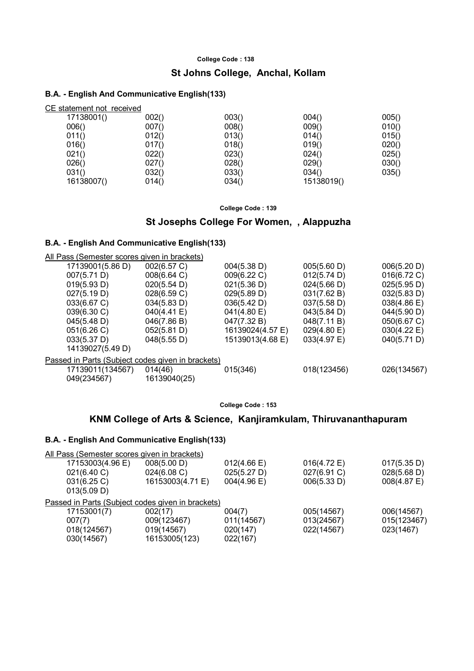# **St Johns College, Anchal, Kollam**

### **B.A. - English And Communicative English(133)**

| CE statement not received |       |       |            |       |
|---------------------------|-------|-------|------------|-------|
| 17138001()                | 002() | 003() | 004()      | 005() |
| 006()                     | 007() | 008() | 009()      | 010() |
| 011()                     | 012() | 013() | 014()      | 015() |
| 016()                     | 017() | 018() | 019()      | 020() |
| 021()                     | 022() | 023() | 024()      | 025() |
| 026()                     | 027() | 028() | 029()      | 030() |
| 031()                     | 032() | 033() | 034()      | 035() |
| 16138007()                | 014() | 034() | 15138019() |       |

**College Code : 139**

### **St Josephs College For Women, , Alappuzha**

### **B.A. - English And Communicative English(133)**

All Pass (Semester scores given in brackets)

| 17139001(5.86 D)                                  | 002(6.57 C)  | 004(5.38 D)      | 005(5.60 D) | 006(5.20 D)           |
|---------------------------------------------------|--------------|------------------|-------------|-----------------------|
| 007(5.71 D)                                       | 008(6.64 C)  | 009(6.22 C)      | 012(5.74 D) | 016(6.72 C)           |
| 019(5.93 D)                                       | 020(5.54 D)  | 021(5.36 D)      | 024(5.66 D) | 025(5.95 D)           |
| 027(5.19 D)                                       | 028(6.59 C)  | 029(5.89 D)      | 031(7.62 B) | 032(5.83 D)           |
| 033(6.67 C)                                       | 034(5.83 D)  | 036(5.42 D)      | 037(5.58 D) | 038(4.86 E)           |
| 039(6.30 C)                                       | 040(4.41 E)  | 041(4.80 E)      | 043(5.84 D) | 044(5.90 D)           |
| 045(5.48 D)                                       | 046(7.86 B)  | 047(7.32 B)      | 048(7.11 B) | 050(6.67 C)           |
| 051(6.26)                                         | 052(5.81 D)  | 16139024(4.57 E) | 029(4.80 E) | $030(4.22 \text{ E})$ |
| 033(5.37 D)                                       | 048(5.55 D)  | 15139013(4.68 E) | 033(4.97 E) | 040(5.71 D)           |
| 14139027(5.49 D)                                  |              |                  |             |                       |
| Passed in Parts (Subject codes given in brackets) |              |                  |             |                       |
| 17139011(134567)                                  | 014(46)      | 015(346)         | 018(123456) | 026(134567)           |
| 049(234567)                                       | 16139040(25) |                  |             |                       |
|                                                   |              |                  |             |                       |

**College Code : 153**

### **KNM College of Arts & Science, Kanjiramkulam, Thiruvananthapuram**

| All Pass (Semester scores given in brackets)      |                  |                       |             |             |
|---------------------------------------------------|------------------|-----------------------|-------------|-------------|
| 17153003(4.96 E)                                  | 008(5.00 D)      | $012(4.66 \text{ E})$ | 016(4.72 E) | 017(5.35 D) |
| 021(6.40 C)                                       | 024(6.08 C)      | 025(5.27 D)           | 027(6.91 C) | 028(5.68 D) |
| 031(6.25)                                         | 16153003(4.71 E) | 004(4.96 E)           | 006(5.33 D) | 008(4.87 E) |
| 013(5.09 D)                                       |                  |                       |             |             |
| Passed in Parts (Subject codes given in brackets) |                  |                       |             |             |
| 17153001(7)                                       | 002(17)          | 004(7)                | 005(14567)  | 006(14567)  |
| 007(7)                                            | 009(123467)      | 011(14567)            | 013(24567)  | 015(123467) |
| 018(124567)                                       | 019(14567)       | 020(147)              | 022(14567)  | 023(1467)   |
| 030(14567)                                        | 16153005(123)    | 022(167)              |             |             |
|                                                   |                  |                       |             |             |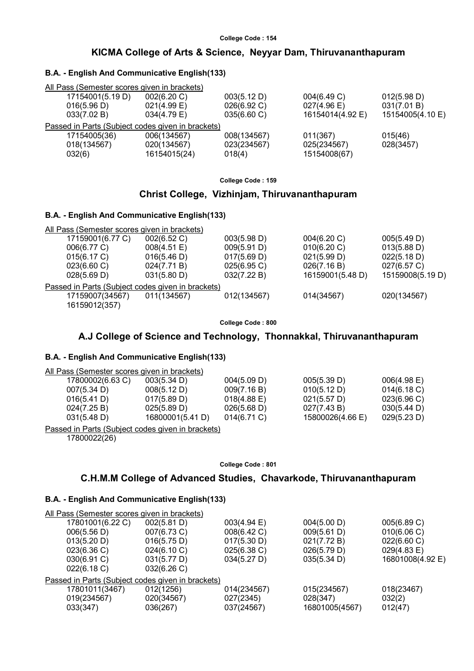### **KICMA College of Arts & Science, Neyyar Dam, Thiruvananthapuram**

### **B.A. - English And Communicative English(133)**

| All Pass (Semester scores given in brackets)      |                       |             |                       |                  |
|---------------------------------------------------|-----------------------|-------------|-----------------------|------------------|
| 17154001(5.19 D)                                  | 002(6.20 C)           | 003(5.12 D) | 004(6.49 C)           | 012(5.98 D)      |
| 016(5.96 D)                                       | $021(4.99)$ E)        | 026(6.92 C) | $027(4.96 \text{ E})$ | 031(7.01 B)      |
| 033(7.02 B)                                       | $034(4.79 \text{ E})$ | 035(6.60 C) | 16154014(4.92 E)      | 15154005(4.10 E) |
| Passed in Parts (Subject codes given in brackets) |                       |             |                       |                  |
| 17154005(36)                                      | 006(134567)           | 008(134567) | 011(367)              | 015(46)          |
| 018(134567)                                       | 020(134567)           | 023(234567) | 025(234567)           | 028(3457)        |
| 032(6)                                            | 16154015(24)          | 018(4)      | 15154008(67)          |                  |
|                                                   |                       |             |                       |                  |

**College Code : 159**

#### **Christ College, Vizhinjam, Thiruvananthapuram**

### **B.A. - English And Communicative English(133)**

| All Pass (Semester scores given in brackets) |                                                   |             |                  |                  |
|----------------------------------------------|---------------------------------------------------|-------------|------------------|------------------|
| 17159001(6.77 C)                             | 002(6.52 C)                                       | 003(5.98 D) | 004(6.20 C)      | 005(5.49 D)      |
| 006(6.77 C)                                  | 008(4.51 E)                                       | 009(5.91 D) | 010(6.20 C)      | 013(5.88 D)      |
| 015(6.17 C)                                  | 016(5.46 D)                                       | 017(5.69 D) | 021(5.99 D)      | 022(5.18 D)      |
| $023(6.60 \, \text{C})$                      | 024(7.71 B)                                       | 025(6.95 C) | 026(7.16 B)      | 027(6.57 C)      |
| 028(5.69 D)                                  | 031(5.80 D)                                       | 032(7.22 B) | 16159001(5.48 D) | 15159008(5.19 D) |
|                                              | Passed in Parts (Subject codes given in brackets) |             |                  |                  |
| 17159007(34567)                              | 011(134567)                                       | 012(134567) | 014(34567)       | 020(134567)      |
| 16159012(357)                                |                                                   |             |                  |                  |

**College Code : 800**

### **A.J College of Science and Technology, Thonnakkal, Thiruvananthapuram**

#### **B.A. - English And Communicative English(133)**

| All Pass (Semester scores given in brackets) |                  |                |                  |                       |
|----------------------------------------------|------------------|----------------|------------------|-----------------------|
| 17800002(6.63 C)                             | 003(5.34 D)      | 004(5.09 D)    | 005(5.39 D)      | $006(4.98 \text{ E})$ |
| 007(5.34 D)                                  | 008(5.12 D)      | 009(7.16 B)    | 010(5.12 D)      | 014(6.18 C)           |
| 016(5.41 D)                                  | 017(5.89 D)      | $018(4.88)$ E) | 021(5.57 D)      | 023(6.96)             |
| 024(7.25 B)                                  | 025(5.89 D)      | 026(5.68 D)    | 027(7.43 B)      | 030(5.44 D)           |
| 031(5.48 D)                                  | 16800001(5.41 D) | $014(6.71)$ C) | 15800026(4.66 E) | 029(5.23 D)           |
|                                              |                  |                |                  |                       |

Passed in Parts (Subject codes given in brackets)

17800022(26)

#### **College Code : 801**

# **C.H.M.M College of Advanced Studies, Chavarkode, Thiruvananthapuram**

| All Pass (Semester scores given in brackets) |                                                   |                |                |                  |  |
|----------------------------------------------|---------------------------------------------------|----------------|----------------|------------------|--|
| 17801001(6.22 C)                             | 002(5.81 D)                                       | 003(4.94 E)    | 004(5.00 D)    | 005(6.89 C)      |  |
| 006(5.56 D)                                  | 007(6.73 C)                                       | 008(6.42 C)    | 009(5.61 D)    | 010(6.06 C)      |  |
| 013(5.20 D)                                  | 016(5.75 D)                                       | 017(5.30 D)    | 021(7.72 B)    | 022(6.60 C)      |  |
| 023(6.36)                                    | 024(6.10 C)                                       | $025(6.38)$ C) | 026(5.79 D)    | 029(4.83 E)      |  |
| $030(6.91)$ C)                               | 031(5.77 D)                                       | 034(5.27 D)    | 035(5.34 D)    | 16801008(4.92 E) |  |
| 022(6.18)                                    | 032(6.26)                                         |                |                |                  |  |
|                                              | Passed in Parts (Subject codes given in brackets) |                |                |                  |  |
| 17801011(3467)                               | 012(1256)                                         | 014(234567)    | 015(234567)    | 018(23467)       |  |
| 019(234567)                                  | 020(34567)                                        | 027(2345)      | 028(347)       | 032(2)           |  |
| 033(347)                                     | 036(267)                                          | 037(24567)     | 16801005(4567) | 012(47)          |  |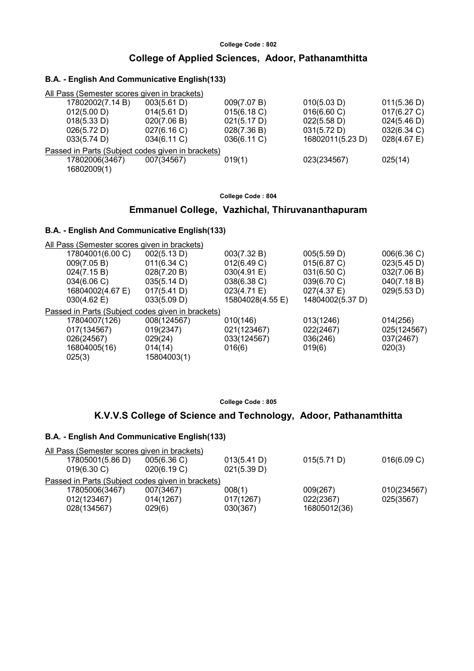# **College Code : 802 College of Applied Sciences, Adoor, Pathanamthitta**

### **B.A. - English And Communicative English(133)**

| All Pass (Semester scores given in brackets)      |                |             |                  |                |
|---------------------------------------------------|----------------|-------------|------------------|----------------|
| 17802002(7.14 B)                                  | 003(5.61 D)    | 009(7.07 B) | 010(5.03 D)      | 011(5.36 D)    |
| 012(5.00 D)                                       | 014(5.61 D)    | 015(6.18 C) | 016(6.60 C)      | 017(6.27 C)    |
| 018(5.33 D)                                       | 020(7.06 B)    | 021(5.17 D) | 022(5.58 D)      | 024(5.46 D)    |
| 026(5.72 D)                                       | 027(6.16)      | 028(7.36 B) | 031(5.72 D)      | 032(6.34 C)    |
| 033(5.74 D)                                       | $034(6.11)$ C) | 036(6.11 C) | 16802011(5.23 D) | $028(4.67)$ E) |
| Passed in Parts (Subject codes given in brackets) |                |             |                  |                |
| 17802006(3467)                                    | 007(34567)     | 019(1)      | 023(234567)      | 025(14)        |
| 16802009(1)                                       |                |             |                  |                |
|                                                   |                |             |                  |                |

### **College Code : 804**

# **Emmanuel College, Vazhichal, Thiruvananthapuram**

### **B.A. - English And Communicative English(133)**

| All Pass (Semester scores given in brackets)      |                |                  |                  |             |
|---------------------------------------------------|----------------|------------------|------------------|-------------|
| 17804001(6.00 C)                                  | 002(5.13 D)    | 003(7.32 B)      | 005(5.59 D)      | 006(6.36)   |
| 009(7.05 B)                                       | $011(6.34)$ C) | 012(6.49 C)      | 015(6.87 C)      | 023(5.45 D) |
| 024(7.15 B)                                       | 028(7.20 B)    | 030(4.91 E)      | 031(6.50 C)      | 032(7.06 B) |
| 034(6.06 C)                                       | 035(5.14 D)    | 038(6.38 C)      | 039(6.70 C)      | 040(7.18 B) |
| 16804002(4.67 E)                                  | 017(5.41 D)    | 023(4.71 E)      | 027(4.37 E)      | 029(5.53 D) |
| $030(4.62 \text{ E})$                             | 033(5.09 D)    | 15804028(4.55 E) | 14804002(5.37 D) |             |
| Passed in Parts (Subject codes given in brackets) |                |                  |                  |             |
| 17804007(126)                                     | 008(124567)    | 010(146)         | 013(1246)        | 014(256)    |
| 017(134567)                                       | 019(2347)      | 021(123467)      | 022(2467)        | 025(124567) |
| 026(24567)                                        | 029(24)        | 033(124567)      | 036(246)         | 037(2467)   |
| 16804005(16)                                      | 014(14)        | 016(6)           | 019(6)           | 020(3)      |
| 025(3)                                            | 15804003(1)    |                  |                  |             |

**College Code : 805**

# **K.V.V.S College of Science and Technology, Adoor, Pathanamthitta**

|                |                  | All Pass (Semester scores given in brackets)      |             |              |             |
|----------------|------------------|---------------------------------------------------|-------------|--------------|-------------|
|                | 17805001(5.86 D) | 005(6.36 C)                                       | 013(5.41 D) | 015(5.71 D)  | 016(6.09 C) |
| $019(6.30)$ C) |                  | 020(6.19 C)                                       | 021(5.39 D) |              |             |
|                |                  | Passed in Parts (Subject codes given in brackets) |             |              |             |
|                | 17805006(3467)   | 007(3467)                                         | 008(1)      | 009(267)     | 010(234567) |
| 012(123467)    |                  | 014(1267)                                         | 017(1267)   | 022(2367)    | 025(3567)   |
| 028(134567)    |                  | 029(6)                                            | 030(367)    | 16805012(36) |             |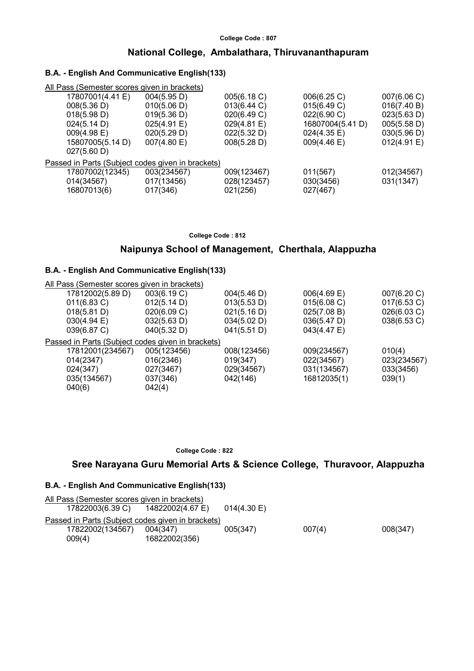### **National College, Ambalathara, Thiruvananthapuram**

### **B.A. - English And Communicative English(133)**

| All Pass (Semester scores given in brackets)      |             |             |                  |             |
|---------------------------------------------------|-------------|-------------|------------------|-------------|
| 17807001(4.41 E)                                  | 004(5.95 D) | 005(6.18 C) | 006(6.25 C)      | 007(6.06 C) |
| 008(5.36 D)                                       | 010(5.06 D) | 013(6.44 C) | 015(6.49 C)      | 016(7.40 B) |
| 018(5.98 D)                                       | 019(5.36 D) | 020(6.49 C) | 022(6.90 C)      | 023(5.63 D) |
| 024(5.14 D)                                       | 025(4.91 E) | 029(4.81 E) | 16807004(5.41 D) | 005(5.58 D) |
| $009(4.98 \text{ E})$                             | 020(5.29 D) | 022(5.32 D) | 024(4.35 E)      | 030(5.96 D) |
| 15807005(5.14 D)                                  | 007(4.80 E) | 008(5.28 D) | 009(4.46 E)      | 012(4.91 E) |
| 027(5.60 D)                                       |             |             |                  |             |
| Passed in Parts (Subject codes given in brackets) |             |             |                  |             |
| 17807002(12345)                                   | 003(234567) | 009(123467) | 011(567)         | 012(34567)  |
| 014(34567)                                        | 017(13456)  | 028(123457) | 030(3456)        | 031(1347)   |
| 16807013(6)                                       | 017(346)    | 021(256)    | 027(467)         |             |
|                                                   |             |             |                  |             |

**College Code : 812**

# **Naipunya School of Management, Cherthala, Alappuzha**

### **B.A. - English And Communicative English(133)**

| All Pass (Semester scores given in brackets)      |             |             |             |             |
|---------------------------------------------------|-------------|-------------|-------------|-------------|
| 17812002(5.89 D)                                  | 003(6.19 C) | 004(5.46 D) | 006(4.69 E) | 007(6.20 C) |
| 011(6.83 C)                                       | 012(5.14 D) | 013(5.53 D) | 015(6.08 C) | 017(6.53 C) |
| 018(5.81 D)                                       | 020(6.09 C) | 021(5.16 D) | 025(7.08 B) | 026(6.03 C) |
| $030(4.94 \text{ E})$                             | 032(5.63 D) | 034(5.02 D) | 036(5.47 D) | 038(6.53 C) |
| 039(6.87 C)                                       | 040(5.32 D) | 041(5.51 D) | 043(4.47 E) |             |
| Passed in Parts (Subject codes given in brackets) |             |             |             |             |
| 17812001(234567)                                  | 005(123456) | 008(123456) | 009(234567) | 010(4)      |
| 014(2347)                                         | 016(2346)   | 019(347)    | 022(34567)  | 023(234567) |
| 024(347)                                          | 027(3467)   | 029(34567)  | 031(134567) | 033(3456)   |
| 035(134567)                                       | 037(346)    | 042(146)    | 16812035(1) | 039(1)      |
| 040(6)                                            | 042(4)      |             |             |             |
|                                                   |             |             |             |             |

 **College Code : 822**

# **Sree Narayana Guru Memorial Arts & Science College, Thuravoor, Alappuzha**

| All Pass (Semester scores given in brackets)      |               |                |        |          |
|---------------------------------------------------|---------------|----------------|--------|----------|
| 17822003(6.39 C) 14822002(4.67 E)                 |               | $014(4.30)$ E) |        |          |
| Passed in Parts (Subject codes given in brackets) |               |                |        |          |
| 17822002(134567)                                  | 004(347)      | 005(347)       | 007(4) | 008(347) |
| 009(4)                                            | 16822002(356) |                |        |          |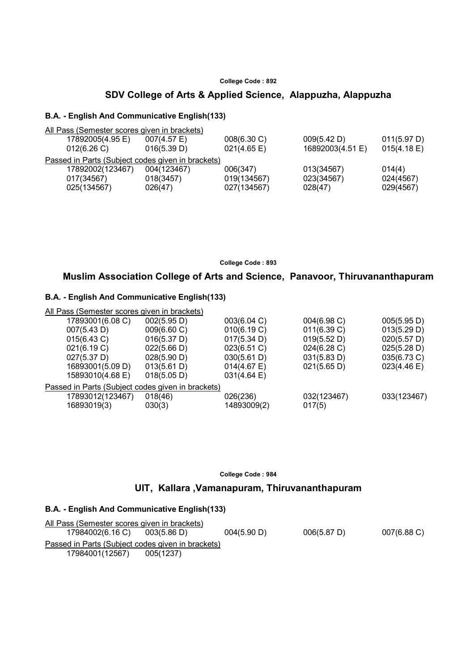# **SDV College of Arts & Applied Science, Alappuzha, Alappuzha**

#### **B.A. - English And Communicative English(133)**

| All Pass (Semester scores given in brackets)      |             |                  |             |
|---------------------------------------------------|-------------|------------------|-------------|
| 17892005(4.95 E)<br>$007(4.57)$ E)                | 008(6.30 C) | 009(5.42 D)      | 011(5.97 D) |
| 016(5.39 D)                                       | 021(4.65 E) | 16892003(4.51 E) | 015(4.18 E) |
|                                                   |             |                  |             |
| 17892002(123467)<br>004(123467)                   | 006(347)    | 013(34567)       | 014(4)      |
| 018(3457)                                         | 019(134567) | 023(34567)       | 024(4567)   |
| 025(134567)<br>026(47)                            | 027(134567) | 028(47)          | 029(4567)   |
| Passed in Parts (Subject codes given in brackets) |             |                  |             |

**College Code : 893**

# **Muslim Association College of Arts and Science, Panavoor, Thiruvananthapuram**

### **B.A. - English And Communicative English(133)**

| All Pass (Semester scores given in brackets) |                       |                                                   |                       |
|----------------------------------------------|-----------------------|---------------------------------------------------|-----------------------|
| 002(5.95 D)                                  | 003(6.04 C)           | 004(6.98 C)                                       | 005(5.95 D)           |
| 009(6.60 C)                                  | 010(6.19 C)           | 011(6.39 C)                                       | 013(5.29 D)           |
| 016(5.37 D)                                  | 017(5.34 D)           | 019(5.52 D)                                       | 020(5.57 D)           |
| 022(5.66 D)                                  | 023(6.51 C)           | 024(6.28)                                         | 025(5.28 D)           |
| 028(5.90 D)                                  | 030(5.61 D)           | 031(5.83 D)                                       | 035(6.73 C)           |
| 013(5.61 D)                                  | 014(4.67 E)           | 021(5.65 D)                                       | $023(4.46 \text{ E})$ |
| 018(5.05 D)                                  | $031(4.64 \text{ E})$ |                                                   |                       |
|                                              |                       |                                                   |                       |
| 018(46)                                      | 026(236)              | 032(123467)                                       | 033(123467)           |
| 030(3)                                       | 14893009(2)           | 017(5)                                            |                       |
|                                              |                       | Passed in Parts (Subject codes given in brackets) |                       |

**College Code : 984**

### **UIT, Kallara ,Vamanapuram, Thiruvananthapuram**

| All Pass (Semester scores given in brackets)      |             |             |             |                |
|---------------------------------------------------|-------------|-------------|-------------|----------------|
| 17984002(6.16 C)                                  | 003(5.86 D) | 004(5.90 D) | 006(5.87 D) | $007(6.88)$ C) |
| Passed in Parts (Subject codes given in brackets) |             |             |             |                |
| 17984001(12567)                                   | 005(1237)   |             |             |                |